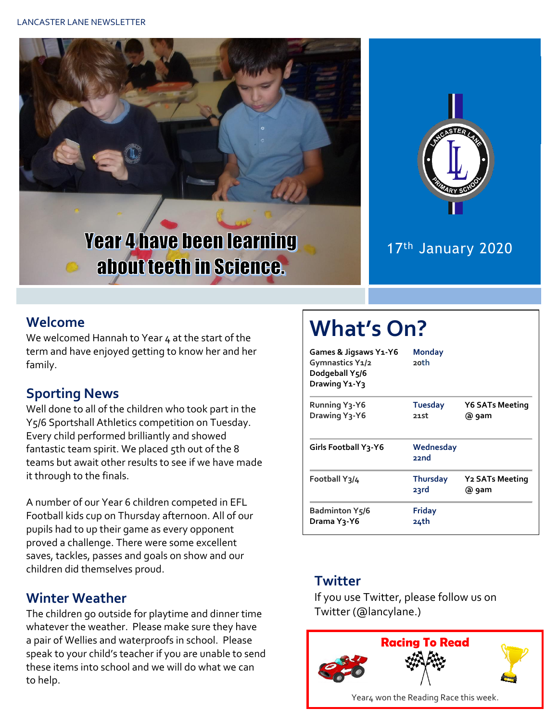





### 17th January 2020

#### **Welcome**

We welcomed Hannah to Year 4 at the start of the term and have enjoyed getting to know her and her family.

#### **Sporting News**

 $\mathbb{C}$ 

Well done to all of the children who took part in the Y5/6 Sportshall Athletics competition on Tuesday. Every child performed brilliantly and showed fantastic team spirit. We placed 5th out of the 8 teams but await other results to see if we have made it through to the finals.

A number of our Year 6 children competed in EFL Football kids cup on Thursday afternoon. All of our pupils had to up their game as every opponent proved a challenge. There were some excellent saves, tackles, passes and goals on show and our children did themselves proud.

#### **Winter Weather**

The children go outside for playtime and dinner time whatever the weather. Please make sure they have a pair of Wellies and waterproofs in school. Please speak to your child's teacher if you are unable to send these items into school and we will do what we can to help.

# **What's On?**

| Games & Jigsaws Y1-Y6<br>Gymnastics Y1/2<br>Dodgeball Y5/6<br>Drawing Y <sub>1</sub> -Y <sub>3</sub> | <b>Monday</b><br>20th   |                                            |  |
|------------------------------------------------------------------------------------------------------|-------------------------|--------------------------------------------|--|
| <b>Running Y3-Y6</b><br>Drawing Y <sub>3</sub> -Y6                                                   | <b>Tuesday</b><br>21st  | <b>Y6 SATs Meeting</b><br>@ 9am            |  |
| <b>Girls Football Y3-Y6</b>                                                                          | Wednesday<br>22nd       |                                            |  |
| Football Y3/4                                                                                        | <b>Thursday</b><br>23rd | <b>Y<sub>2</sub></b> SATs Meeting<br>@ 9am |  |
| <b>Badminton Y5/6</b><br>Drama Y3-Y6                                                                 | Friday<br>24th          |                                            |  |

#### **Twitter**

If you use Twitter, please follow us on Twitter (@lancylane.)

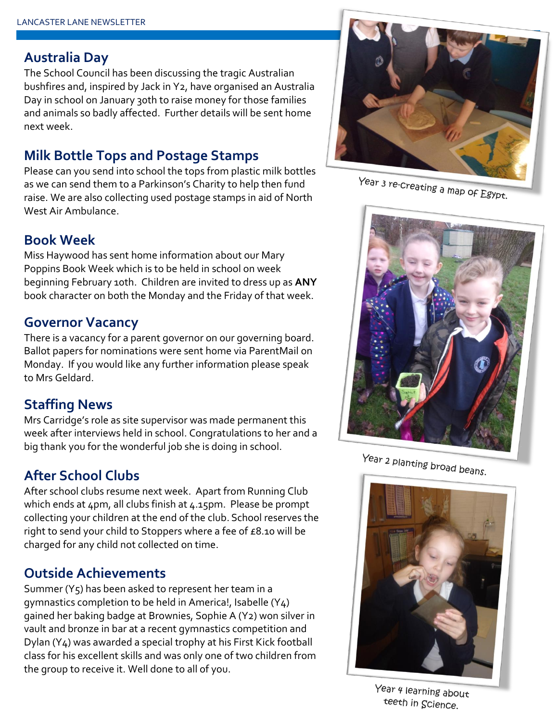#### **Australia Day**

The School Council has been discussing the tragic Australian bushfires and, inspired by Jack in Y2, have organised an Australia Day in school on January 30th to raise money for those families and animals so badly affected. Further details will be sent home next week.

#### **Milk Bottle Tops and Postage Stamps**

Please can you send into school the tops from plastic milk bottles as we can send them to a Parkinson's Charity to help then fund raise. We are also collecting used postage stamps in aid of North West Air Ambulance.



Miss Haywood has sent home information about our Mary Poppins Book Week which is to be held in school on week beginning February 10th. Children are invited to dress up as **ANY** book character on both the Monday and the Friday of that week.

#### **Governor Vacancy**

There is a vacancy for a parent governor on our governing board. Ballot papers for nominations were sent home via ParentMail on Monday. If you would like any further information please speak to Mrs Geldard.

#### **Staffing News**

Mrs Carridge's role as site supervisor was made permanent this week after interviews held in school. Congratulations to her and a big thank you for the wonderful job she is doing in school.

#### **After School Clubs**

After school clubs resume next week. Apart from Running Club which ends at 4pm, all clubs finish at 4.15pm. Please be prompt collecting your children at the end of the club. School reserves the right to send your child to Stoppers where a fee of £8.10 will be charged for any child not collected on time.

#### **Outside Achievements**

Summer (Y5) has been asked to represent her team in a gymnastics completion to be held in America!, Isabelle (Y4) gained her baking badge at Brownies, Sophie A (Y2) won silver in vault and bronze in bar at a recent gymnastics competition and Dylan (Y4) was awarded a special trophy at his First Kick football class for his excellent skills and was only one of two children from the group to receive it. Well done to all of you.



Year 3 re-creating a map of Egypt.



Year 2 planting broad beans.



Year 4 learning about teeth in Science.